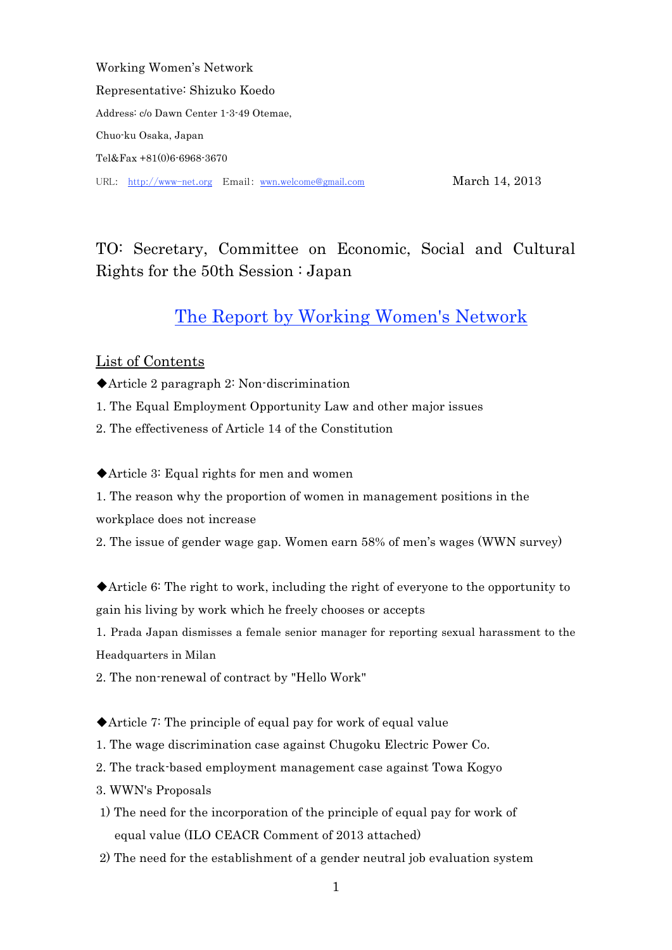Working Women's Network Representative: Shizuko Koedo Address: c/o Dawn Center 1-3-49 Otemae, Chuo-ku Osaka, Japan Tel&Fax +81(0)6-6968-3670 URL: http://www-net.org Email: wwn.welcome@gmail.com March 14, 2013

# TO: Secretary, Committee on Economic, Social and Cultural Rights for the 50th Session : Japan

## The Report by Working Women's Network

## List of Contents

- ◆Article 2 paragraph 2: Non-discrimination
- 1. The Equal Employment Opportunity Law and other major issues
- 2. The effectiveness of Article 14 of the Constitution

◆Article 3: Equal rights for men and women

1. The reason why the proportion of women in management positions in the workplace does not increase

2. The issue of gender wage gap. Women earn 58% of men's wages (WWN survey)

◆Article 6: The right to work, including the right of everyone to the opportunity to gain his living by work which he freely chooses or accepts

1. Prada Japan dismisses a female senior manager for reporting sexual harassment to the Headquarters in Milan

2. The non-renewal of contract by "Hello Work"

◆Article 7: The principle of equal pay for work of equal value

- 1. The wage discrimination case against Chugoku Electric Power Co.
- 2. The track-based employment management case against Towa Kogyo
- 3. WWN's Proposals
- 1) The need for the incorporation of the principle of equal pay for work of equal value (ILO CEACR Comment of 2013 attached)
- 2) The need for the establishment of a gender neutral job evaluation system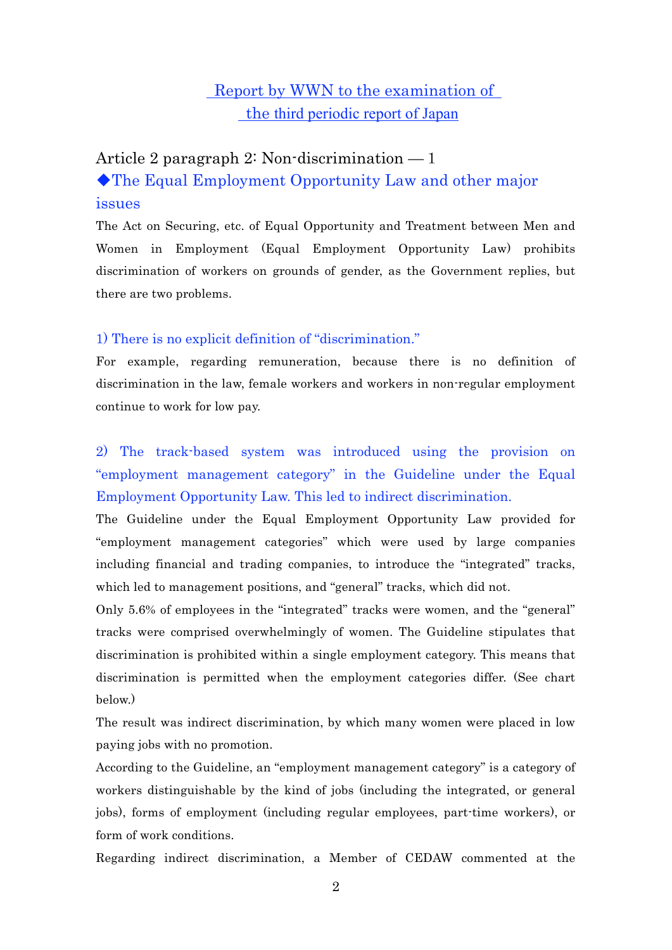## Report by WWN to the examination of the third periodic report of Japan

# Article 2 paragraph 2: Non-discrimination —1 ◆The Equal Employment Opportunity Law and other major issues

The Act on Securing, etc. of Equal Opportunity and Treatment between Men and Women in Employment (Equal Employment Opportunity Law) prohibits discrimination of workers on grounds of gender, as the Government replies, but there are two problems.

## 1) There is no explicit definition of "discrimination."

For example, regarding remuneration, because there is no definition of discrimination in the law, female workers and workers in non-regular employment continue to work for low pay.

2) The track-based system was introduced using the provision on "employment management category" in the Guideline under the Equal Employment Opportunity Law. This led to indirect discrimination.

The Guideline under the Equal Employment Opportunity Law provided for "employment management categories" which were used by large companies including financial and trading companies, to introduce the "integrated" tracks, which led to management positions, and "general" tracks, which did not.

Only 5.6% of employees in the "integrated" tracks were women, and the "general" tracks were comprised overwhelmingly of women. The Guideline stipulates that discrimination is prohibited within a single employment category. This means that discrimination is permitted when the employment categories differ. (See chart below.)

The result was indirect discrimination, by which many women were placed in low paying jobs with no promotion.

According to the Guideline, an "employment management category" is a category of workers distinguishable by the kind of jobs (including the integrated, or general jobs), forms of employment (including regular employees, part-time workers), or form of work conditions.

Regarding indirect discrimination, a Member of CEDAW commented at the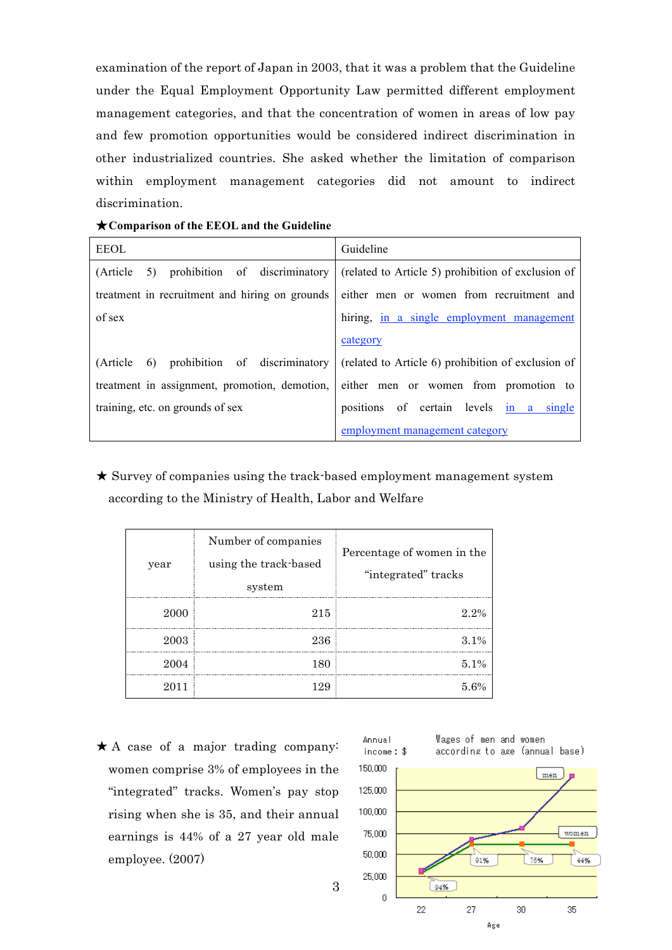examination of the report of Japan in 2003, that it was a problem that the Guideline under the Equal Employment Opportunity Law permitted different employment management categories, and that the concentration of women in areas of low pay and few promotion opportunities would be considered indirect discrimination in other industrialized countries. She asked whether the limitation of comparison within employment management categories did not amount to indirect discrimination.

| $\star$ Comparison of the EEOL and the Guideline                                             |                                                                                     |  |  |  |
|----------------------------------------------------------------------------------------------|-------------------------------------------------------------------------------------|--|--|--|
| <b>EEOL</b>                                                                                  | Guideline                                                                           |  |  |  |
| (Article                                                                                     | 5) prohibition of discriminatory (related to Article 5) prohibition of exclusion of |  |  |  |
| treatment in recruitment and hiring on grounds                                               | either men or women from recruitment and                                            |  |  |  |
| of sex                                                                                       | hiring, in a single employment management                                           |  |  |  |
|                                                                                              | category                                                                            |  |  |  |
| (Article 6) prohibition of discriminatory (related to Article 6) prohibition of exclusion of |                                                                                     |  |  |  |
| treatment in assignment, promotion, demotion,                                                | either men or women from promotion to                                               |  |  |  |
| training, etc. on grounds of sex                                                             | positions of certain levels in a single                                             |  |  |  |

★ Survey of companies using the track-based employment management system according to the Ministry of Health, Labor and Welfare

employment management category

|      | Number of companies             |                                                   |
|------|---------------------------------|---------------------------------------------------|
| year | using the track based<br>system | Percentage of women in the<br>"integrated" tracks |
| 2000 | 215                             | $2.2\%$                                           |
| 2003 | 236                             | $3.1\%$                                           |
| 2004 | 180                             | $5.1\%$                                           |
| 2011 | 129                             | 5.6%                                              |

3

 $\star$  A case of a major trading company: women comprise 3% of employees in the "integrated" tracks. Women's pay stop rising when she is 35, and their annual earnings is 44% of a 27 year old male employee. (2007)

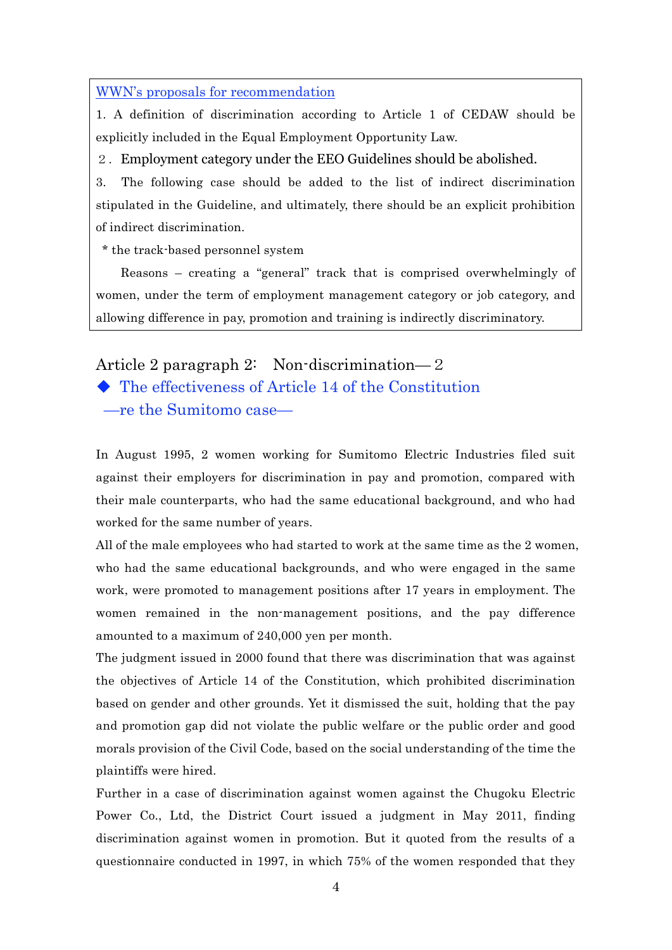#### WWN's proposals for recommendation

1. A definition of discrimination according to Article 1 of CEDAW should be explicitly included in the Equal Employment Opportunity Law.

2.Employment category under the EEO Guidelines should be abolished.

3. The following case should be added to the list of indirect discrimination stipulated in the Guideline, and ultimately, there should be an explicit prohibition of indirect discrimination.

\* the track-based personnel system

 Reasons – creating a "general" track that is comprised overwhelmingly of women, under the term of employment management category or job category, and allowing difference in pay, promotion and training is indirectly discriminatory.

## Article 2 paragraph 2: Non-discrimination—2

◆ The effectiveness of Article 14 of the Constitution —re the Sumitomo case—

In August 1995, 2 women working for Sumitomo Electric Industries filed suit against their employers for discrimination in pay and promotion, compared with their male counterparts, who had the same educational background, and who had worked for the same number of years.

All of the male employees who had started to work at the same time as the 2 women, who had the same educational backgrounds, and who were engaged in the same work, were promoted to management positions after 17 years in employment. The women remained in the non-management positions, and the pay difference amounted to a maximum of 240,000 yen per month.

The judgment issued in 2000 found that there was discrimination that was against the objectives of Article 14 of the Constitution, which prohibited discrimination based on gender and other grounds. Yet it dismissed the suit, holding that the pay and promotion gap did not violate the public welfare or the public order and good morals provision of the Civil Code, based on the social understanding of the time the plaintiffs were hired.

Further in a case of discrimination against women against the Chugoku Electric Power Co., Ltd, the District Court issued a judgment in May 2011, finding discrimination against women in promotion. But it quoted from the results of a questionnaire conducted in 1997, in which 75% of the women responded that they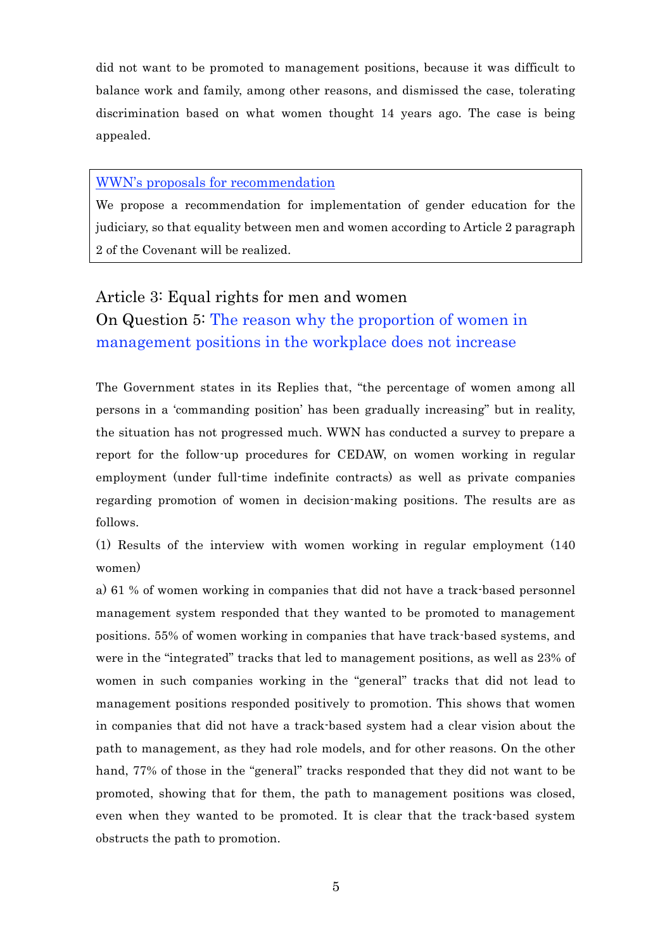did not want to be promoted to management positions, because it was difficult to balance work and family, among other reasons, and dismissed the case, tolerating discrimination based on what women thought 14 years ago. The case is being appealed.

### WWN's proposals for recommendation

We propose a recommendation for implementation of gender education for the judiciary, so that equality between men and women according to Article 2 paragraph 2 of the Covenant will be realized.

# Article 3: Equal rights for men and women On Question 5: The reason why the proportion of women in management positions in the workplace does not increase

The Government states in its Replies that, "the percentage of women among all persons in a 'commanding position' has been gradually increasing" but in reality, the situation has not progressed much. WWN has conducted a survey to prepare a report for the follow-up procedures for CEDAW, on women working in regular employment (under full-time indefinite contracts) as well as private companies regarding promotion of women in decision-making positions. The results are as follows.

(1) Results of the interview with women working in regular employment (140 women)

a) 61 % of women working in companies that did not have a track-based personnel management system responded that they wanted to be promoted to management positions. 55% of women working in companies that have track-based systems, and were in the "integrated" tracks that led to management positions, as well as 23% of women in such companies working in the "general" tracks that did not lead to management positions responded positively to promotion. This shows that women in companies that did not have a track-based system had a clear vision about the path to management, as they had role models, and for other reasons. On the other hand, 77% of those in the "general" tracks responded that they did not want to be promoted, showing that for them, the path to management positions was closed, even when they wanted to be promoted. It is clear that the track-based system obstructs the path to promotion.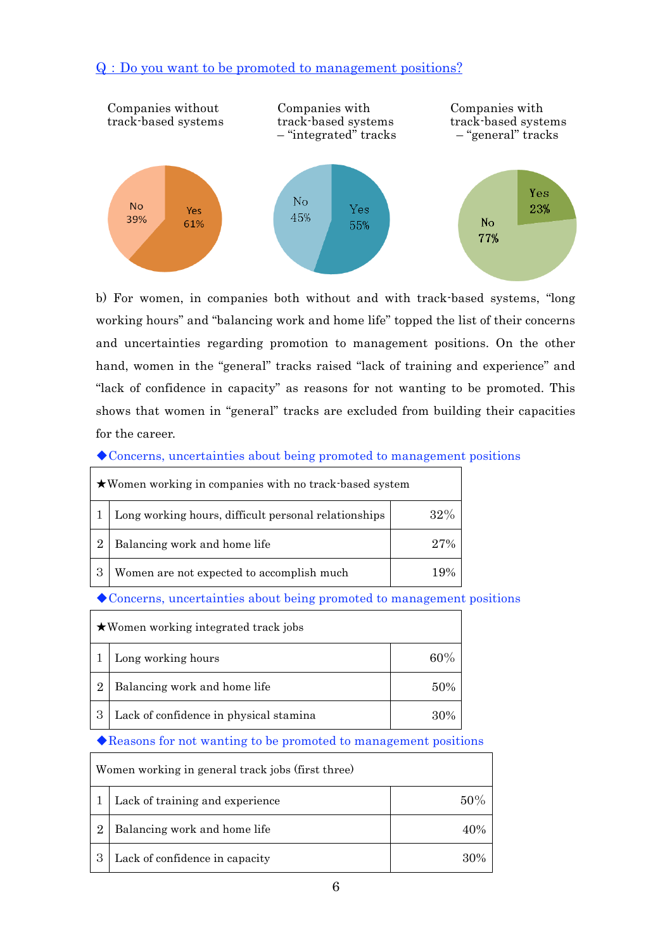## Q:Do you want to be promoted to management positions?



b) For women, in companies both without and with track-based systems, "long working hours" and "balancing work and home life" topped the list of their concerns and uncertainties regarding promotion to management positions. On the other hand, women in the "general" tracks raised "lack of training and experience" and "lack of confidence in capacity" as reasons for not wanting to be promoted. This shows that women in "general" tracks are excluded from building their capacities for the career.

#### ◆Concerns, uncertainties about being promoted to management positions

| ★Women working in companies with no track-based system |                                                      |        |
|--------------------------------------------------------|------------------------------------------------------|--------|
|                                                        | Long working hours, difficult personal relationships | 32%    |
| 2                                                      | Balancing work and home life                         | $27\%$ |
|                                                        | Women are not expected to accomplish much            |        |

### ◆Concerns, uncertainties about being promoted to management positions

| $\star$ Women working integrated track jobs |                                        |     |
|---------------------------------------------|----------------------------------------|-----|
|                                             | Long working hours                     | 60% |
| $\overline{2}$                              | Balancing work and home life           | 50% |
|                                             | Lack of confidence in physical stamina | 30% |

### ◆Reasons for not wanting to be promoted to management positions

| Women working in general track jobs (first three) |                                 |        |  |
|---------------------------------------------------|---------------------------------|--------|--|
|                                                   | Lack of training and experience | 50%    |  |
| $\overline{2}$                                    | Balancing work and home life    | 40%    |  |
|                                                   | Lack of confidence in capacity  | $30\%$ |  |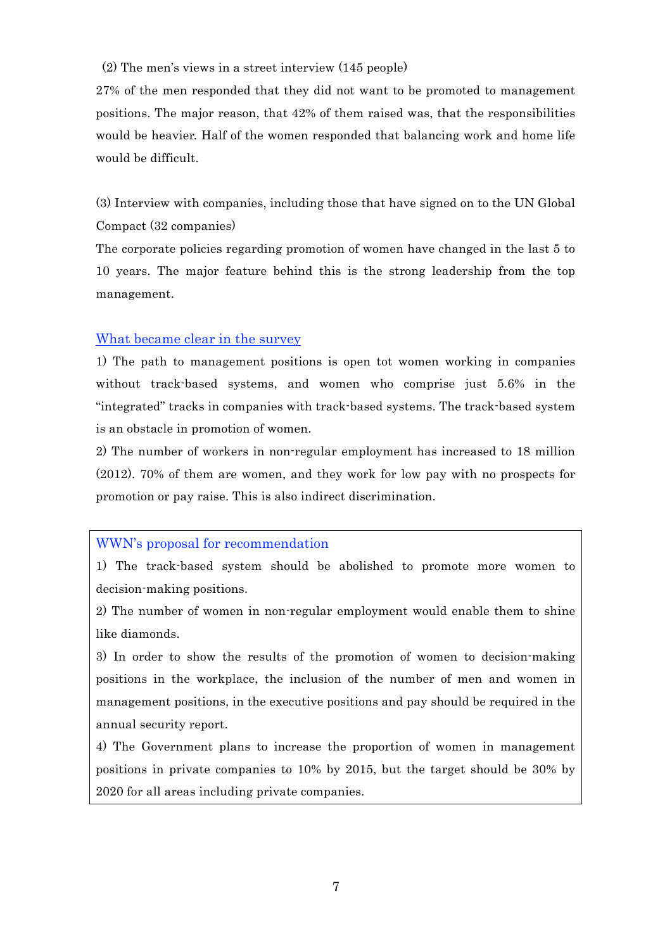#### (2) The men's views in a street interview (145 people)

27% of the men responded that they did not want to be promoted to management positions. The major reason, that 42% of them raised was, that the responsibilities would be heavier. Half of the women responded that balancing work and home life would be difficult.

(3) Interview with companies, including those that have signed on to the UN Global Compact (32 companies)

The corporate policies regarding promotion of women have changed in the last 5 to 10 years. The major feature behind this is the strong leadership from the top management.

#### What became clear in the survey

1) The path to management positions is open tot women working in companies without track-based systems, and women who comprise just 5.6% in the "integrated" tracks in companies with track-based systems. The track-based system is an obstacle in promotion of women.

2) The number of workers in non-regular employment has increased to 18 million (2012). 70% of them are women, and they work for low pay with no prospects for promotion or pay raise. This is also indirect discrimination.

#### WWN's proposal for recommendation

1) The track-based system should be abolished to promote more women to decision-making positions.

2) The number of women in non-regular employment would enable them to shine like diamonds.

3) In order to show the results of the promotion of women to decision-making positions in the workplace, the inclusion of the number of men and women in management positions, in the executive positions and pay should be required in the annual security report.

4) The Government plans to increase the proportion of women in management positions in private companies to 10% by 2015, but the target should be 30% by 2020 for all areas including private companies.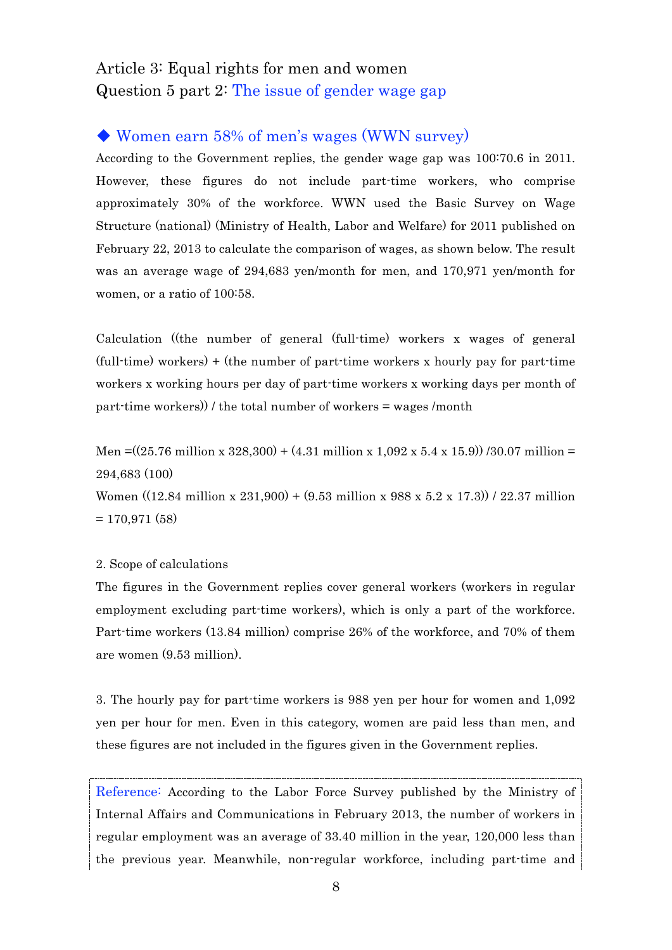## Article 3: Equal rights for men and women Question 5 part 2: The issue of gender wage gap

## ◆ Women earn 58% of men's wages (WWN survey)

According to the Government replies, the gender wage gap was 100:70.6 in 2011. However, these figures do not include part-time workers, who comprise approximately 30% of the workforce. WWN used the Basic Survey on Wage Structure (national) (Ministry of Health, Labor and Welfare) for 2011 published on February 22, 2013 to calculate the comparison of wages, as shown below. The result was an average wage of 294,683 yen/month for men, and 170,971 yen/month for women, or a ratio of 100:58.

Calculation ((the number of general (full-time) workers x wages of general (full-time) workers) + (the number of part-time workers x hourly pay for part-time workers x working hours per day of part-time workers x working days per month of part-time workers)) / the total number of workers = wages /month

Men =((25.76 million x 328,300) + (4.31 million x 1,092 x 5.4 x 15.9)) /30.07 million = 294,683 (100)

Women ((12.84 million x 231,900) + (9.53 million x 988 x 5.2 x 17.3)) / 22.37 million  $= 170.971(58)$ 

#### 2. Scope of calculations

The figures in the Government replies cover general workers (workers in regular employment excluding part-time workers), which is only a part of the workforce. Part-time workers (13.84 million) comprise 26% of the workforce, and 70% of them are women (9.53 million).

3. The hourly pay for part-time workers is 988 yen per hour for women and 1,092 yen per hour for men. Even in this category, women are paid less than men, and these figures are not included in the figures given in the Government replies.

Reference: According to the Labor Force Survey published by the Ministry of Internal Affairs and Communications in February 2013, the number of workers in regular employment was an average of 33.40 million in the year, 120,000 less than the previous year. Meanwhile, non-regular workforce, including part-time and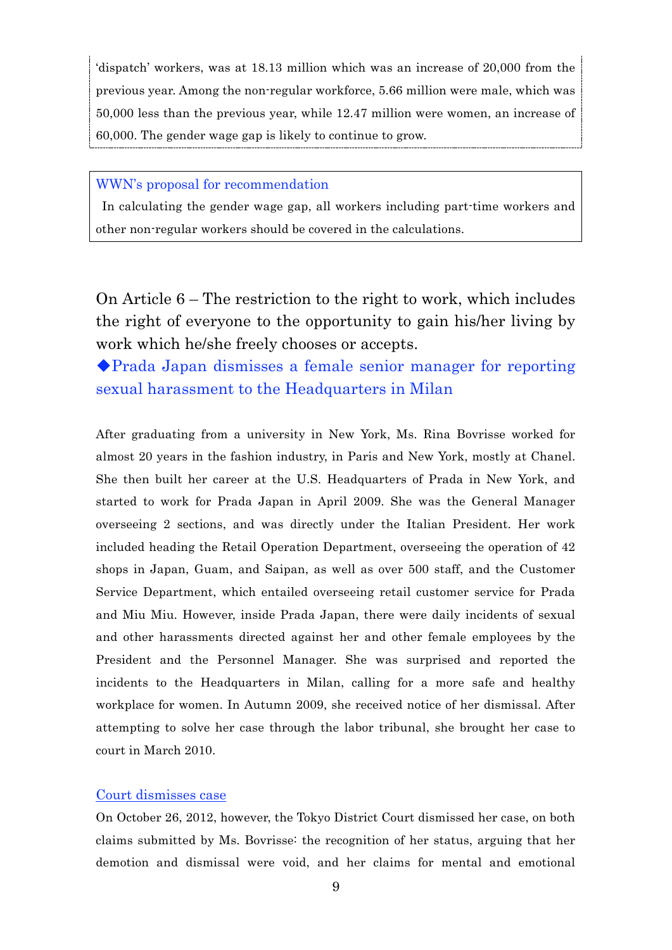'dispatch' workers, was at 18.13 million which was an increase of 20,000 from the previous year. Among the non-regular workforce, 5.66 million were male, which was 50,000 less than the previous year, while 12.47 million were women, an increase of 60,000. The gender wage gap is likely to continue to grow.

### WWN's proposal for recommendation

 In calculating the gender wage gap, all workers including part-time workers and other non-regular workers should be covered in the calculations.

On Article 6 – The restriction to the right to work, which includes the right of everyone to the opportunity to gain his/her living by work which he/she freely chooses or accepts.

◆Prada Japan dismisses a female senior manager for reporting sexual harassment to the Headquarters in Milan

After graduating from a university in New York, Ms. Rina Bovrisse worked for almost 20 years in the fashion industry, in Paris and New York, mostly at Chanel. She then built her career at the U.S. Headquarters of Prada in New York, and started to work for Prada Japan in April 2009. She was the General Manager overseeing 2 sections, and was directly under the Italian President. Her work included heading the Retail Operation Department, overseeing the operation of 42 shops in Japan, Guam, and Saipan, as well as over 500 staff, and the Customer Service Department, which entailed overseeing retail customer service for Prada and Miu Miu. However, inside Prada Japan, there were daily incidents of sexual and other harassments directed against her and other female employees by the President and the Personnel Manager. She was surprised and reported the incidents to the Headquarters in Milan, calling for a more safe and healthy workplace for women. In Autumn 2009, she received notice of her dismissal. After attempting to solve her case through the labor tribunal, she brought her case to court in March 2010.

### Court dismisses case

On October 26, 2012, however, the Tokyo District Court dismissed her case, on both claims submitted by Ms. Bovrisse: the recognition of her status, arguing that her demotion and dismissal were void, and her claims for mental and emotional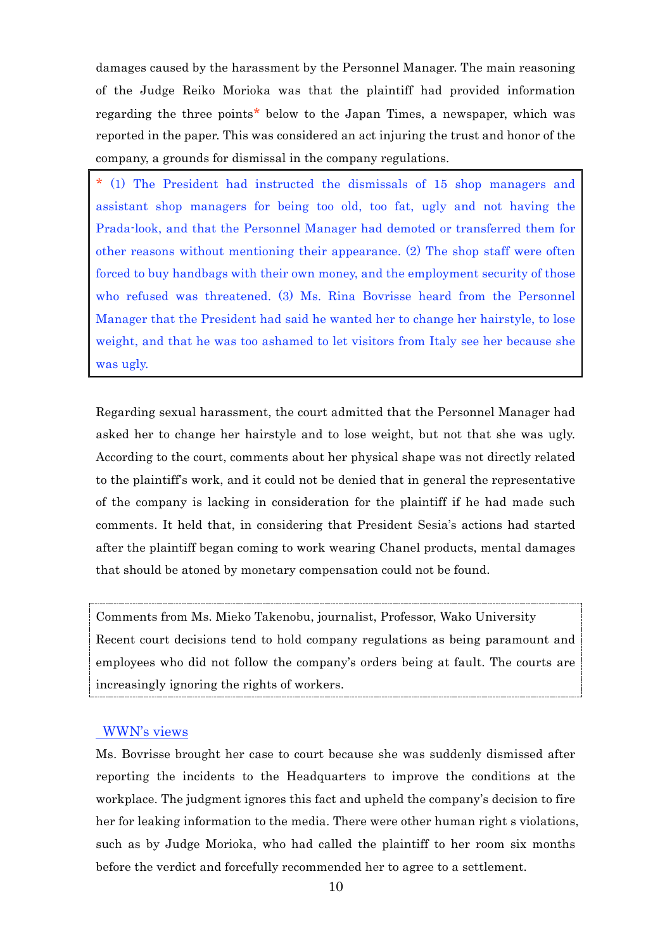damages caused by the harassment by the Personnel Manager. The main reasoning of the Judge Reiko Morioka was that the plaintiff had provided information regarding the three points\* below to the Japan Times, a newspaper, which was reported in the paper. This was considered an act injuring the trust and honor of the company, a grounds for dismissal in the company regulations.

\* (1) The President had instructed the dismissals of 15 shop managers and assistant shop managers for being too old, too fat, ugly and not having the Prada-look, and that the Personnel Manager had demoted or transferred them for other reasons without mentioning their appearance. (2) The shop staff were often forced to buy handbags with their own money, and the employment security of those who refused was threatened. (3) Ms. Rina Bovrisse heard from the Personnel Manager that the President had said he wanted her to change her hairstyle, to lose weight, and that he was too ashamed to let visitors from Italy see her because she was ugly.

Regarding sexual harassment, the court admitted that the Personnel Manager had asked her to change her hairstyle and to lose weight, but not that she was ugly. According to the court, comments about her physical shape was not directly related to the plaintiff's work, and it could not be denied that in general the representative of the company is lacking in consideration for the plaintiff if he had made such comments. It held that, in considering that President Sesia's actions had started after the plaintiff began coming to work wearing Chanel products, mental damages that should be atoned by monetary compensation could not be found.

Comments from Ms. Mieko Takenobu, journalist, Professor, Wako University Recent court decisions tend to hold company regulations as being paramount and employees who did not follow the company's orders being at fault. The courts are increasingly ignoring the rights of workers.

#### WWN's views

Ms. Bovrisse brought her case to court because she was suddenly dismissed after reporting the incidents to the Headquarters to improve the conditions at the workplace. The judgment ignores this fact and upheld the company's decision to fire her for leaking information to the media. There were other human right s violations, such as by Judge Morioka, who had called the plaintiff to her room six months before the verdict and forcefully recommended her to agree to a settlement.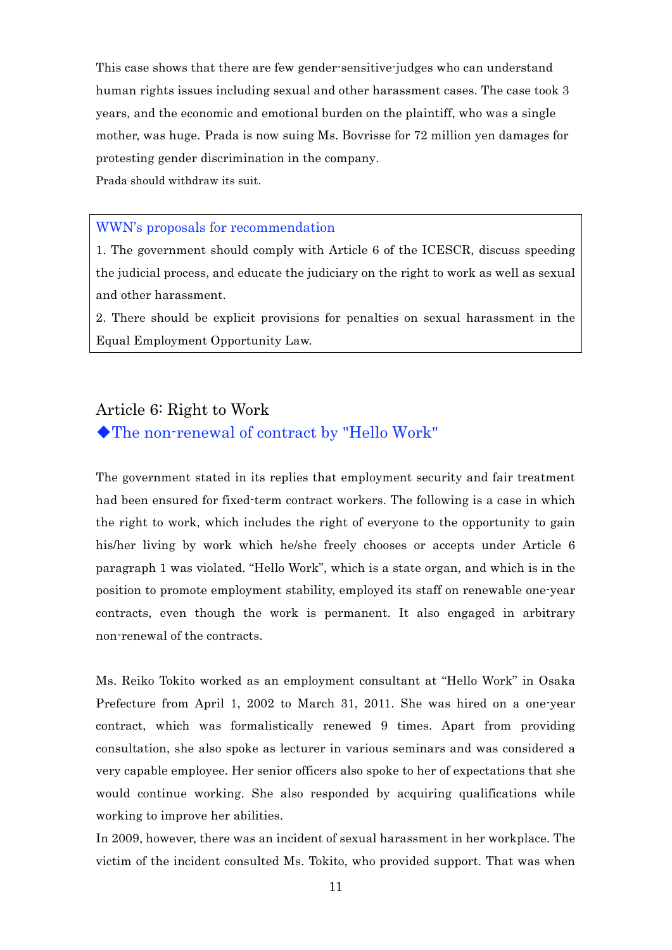This case shows that there are few gender-sensitive-judges who can understand human rights issues including sexual and other harassment cases. The case took 3 years, and the economic and emotional burden on the plaintiff, who was a single mother, was huge. Prada is now suing Ms. Bovrisse for 72 million yen damages for protesting gender discrimination in the company.

Prada should withdraw its suit.

#### WWN's proposals for recommendation

1. The government should comply with Article 6 of the ICESCR, discuss speeding the judicial process, and educate the judiciary on the right to work as well as sexual and other harassment.

2. There should be explicit provisions for penalties on sexual harassment in the Equal Employment Opportunity Law.

## Article 6: Right to Work ◆The non-renewal of contract by "Hello Work"

The government stated in its replies that employment security and fair treatment had been ensured for fixed-term contract workers. The following is a case in which the right to work, which includes the right of everyone to the opportunity to gain his/her living by work which he/she freely chooses or accepts under Article 6 paragraph 1 was violated. "Hello Work", which is a state organ, and which is in the position to promote employment stability, employed its staff on renewable one-year contracts, even though the work is permanent. It also engaged in arbitrary non-renewal of the contracts.

Ms. Reiko Tokito worked as an employment consultant at "Hello Work" in Osaka Prefecture from April 1, 2002 to March 31, 2011. She was hired on a one-year contract, which was formalistically renewed 9 times. Apart from providing consultation, she also spoke as lecturer in various seminars and was considered a very capable employee. Her senior officers also spoke to her of expectations that she would continue working. She also responded by acquiring qualifications while working to improve her abilities.

In 2009, however, there was an incident of sexual harassment in her workplace. The victim of the incident consulted Ms. Tokito, who provided support. That was when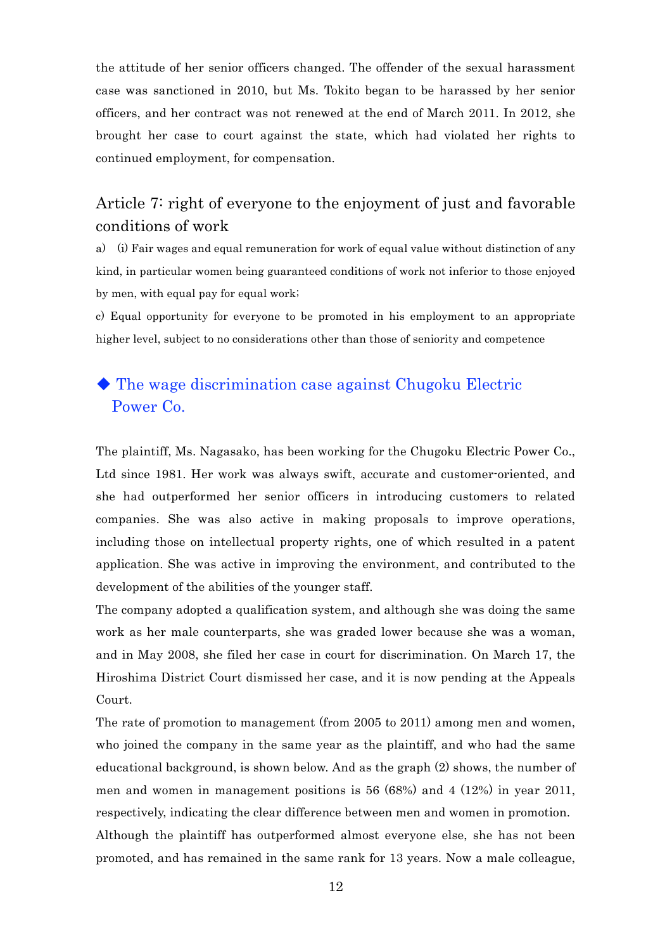the attitude of her senior officers changed. The offender of the sexual harassment case was sanctioned in 2010, but Ms. Tokito began to be harassed by her senior officers, and her contract was not renewed at the end of March 2011. In 2012, she brought her case to court against the state, which had violated her rights to continued employment, for compensation.

## Article 7: right of everyone to the enjoyment of just and favorable conditions of work

a) (i) Fair wages and equal remuneration for work of equal value without distinction of any kind, in particular women being guaranteed conditions of work not inferior to those enjoyed by men, with equal pay for equal work;

c) Equal opportunity for everyone to be promoted in his employment to an appropriate higher level, subject to no considerations other than those of seniority and competence

## ◆ The wage discrimination case against Chugoku Electric Power Co.

The plaintiff, Ms. Nagasako, has been working for the Chugoku Electric Power Co., Ltd since 1981. Her work was always swift, accurate and customer-oriented, and she had outperformed her senior officers in introducing customers to related companies. She was also active in making proposals to improve operations, including those on intellectual property rights, one of which resulted in a patent application. She was active in improving the environment, and contributed to the development of the abilities of the younger staff.

The company adopted a qualification system, and although she was doing the same work as her male counterparts, she was graded lower because she was a woman, and in May 2008, she filed her case in court for discrimination. On March 17, the Hiroshima District Court dismissed her case, and it is now pending at the Appeals Court.

The rate of promotion to management (from 2005 to 2011) among men and women, who joined the company in the same year as the plaintiff, and who had the same educational background, is shown below. And as the graph (2) shows, the number of men and women in management positions is 56 (68%) and 4 (12%) in year 2011, respectively, indicating the clear difference between men and women in promotion. Although the plaintiff has outperformed almost everyone else, she has not been promoted, and has remained in the same rank for 13 years. Now a male colleague,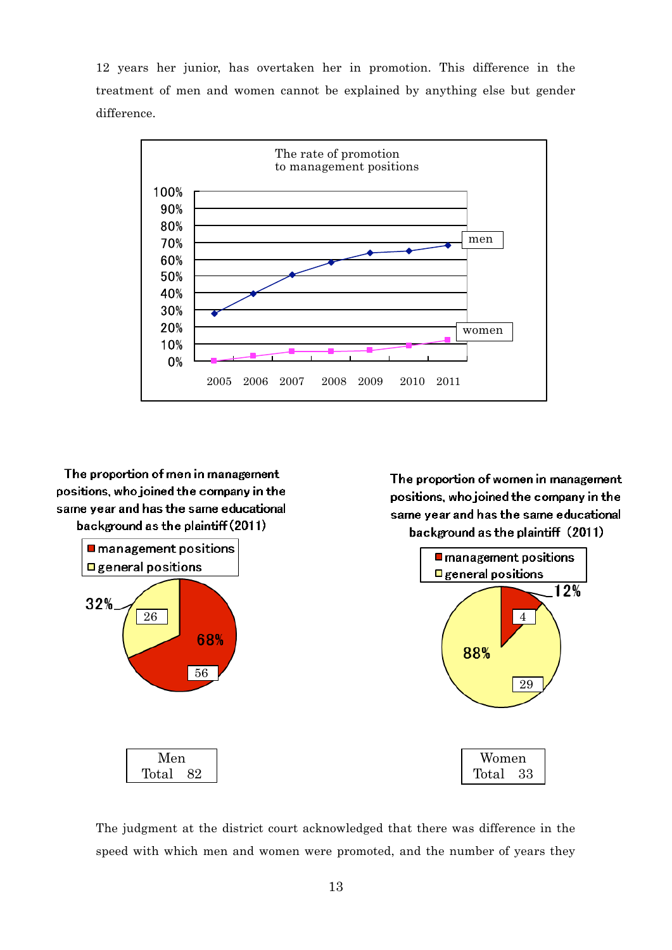12 years her junior, has overtaken her in promotion. This difference in the treatment of men and women cannot be explained by anything else but gender difference.



The proportion of women in management

positions, who joined the company in the

same year and has the same educational

The proportion of men in management positions, who joined the company in the same year and has the same educational background as the plaintiff (2011)



The judgment at the district court acknowledged that there was difference in the speed with which men and women were promoted, and the number of years they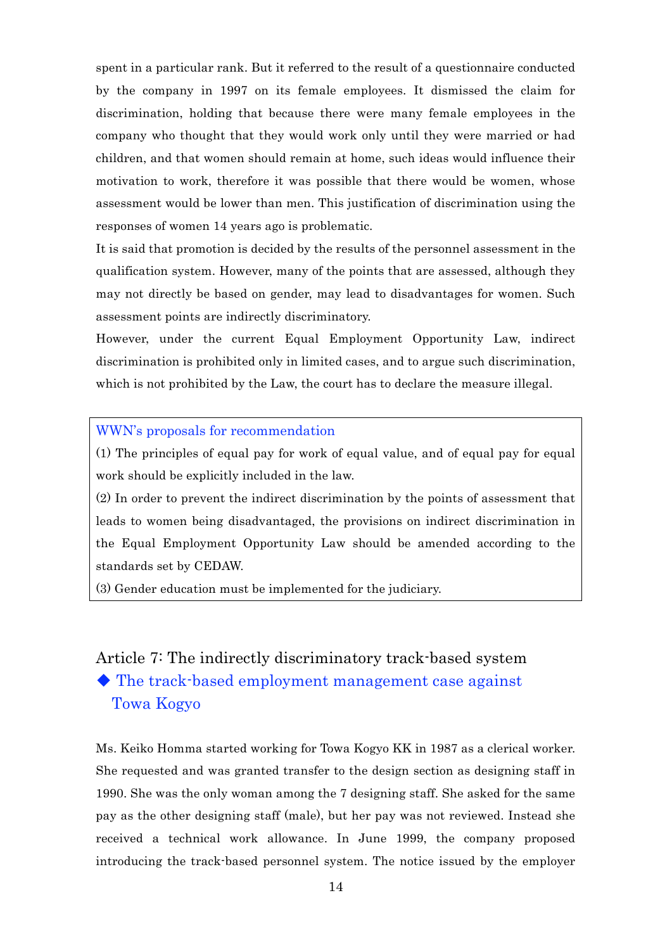spent in a particular rank. But it referred to the result of a questionnaire conducted by the company in 1997 on its female employees. It dismissed the claim for discrimination, holding that because there were many female employees in the company who thought that they would work only until they were married or had children, and that women should remain at home, such ideas would influence their motivation to work, therefore it was possible that there would be women, whose assessment would be lower than men. This justification of discrimination using the responses of women 14 years ago is problematic.

It is said that promotion is decided by the results of the personnel assessment in the qualification system. However, many of the points that are assessed, although they may not directly be based on gender, may lead to disadvantages for women. Such assessment points are indirectly discriminatory.

However, under the current Equal Employment Opportunity Law, indirect discrimination is prohibited only in limited cases, and to argue such discrimination, which is not prohibited by the Law, the court has to declare the measure illegal.

WWN's proposals for recommendation

(1) The principles of equal pay for work of equal value, and of equal pay for equal work should be explicitly included in the law.

(2) In order to prevent the indirect discrimination by the points of assessment that leads to women being disadvantaged, the provisions on indirect discrimination in the Equal Employment Opportunity Law should be amended according to the standards set by CEDAW.

(3) Gender education must be implemented for the judiciary.

# Article 7: The indirectly discriminatory track-based system ◆ The track-based employment management case against

Towa Kogyo

Ms. Keiko Homma started working for Towa Kogyo KK in 1987 as a clerical worker. She requested and was granted transfer to the design section as designing staff in 1990. She was the only woman among the 7 designing staff. She asked for the same pay as the other designing staff (male), but her pay was not reviewed. Instead she received a technical work allowance. In June 1999, the company proposed introducing the track-based personnel system. The notice issued by the employer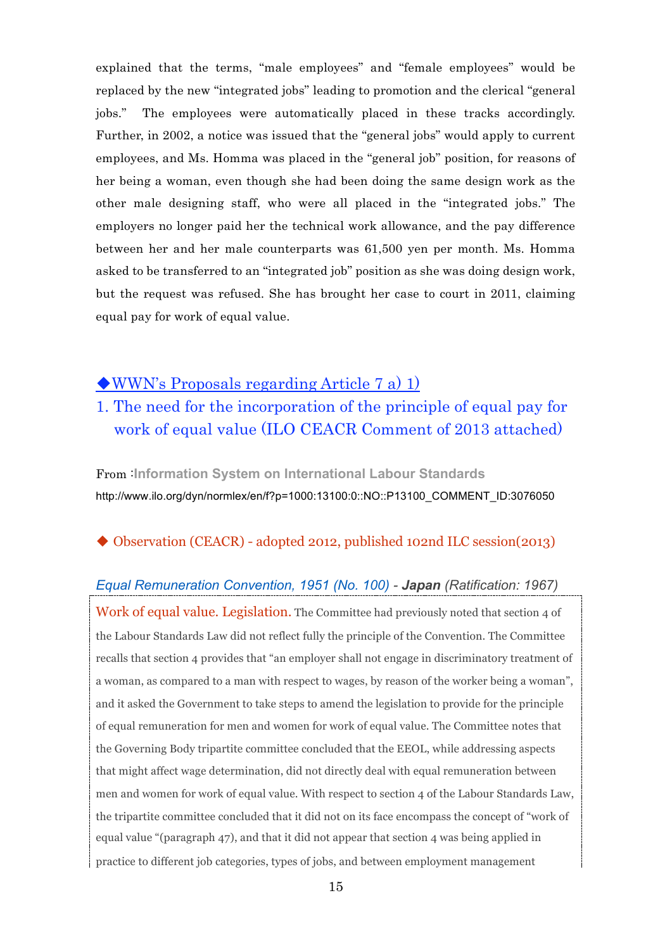explained that the terms, "male employees" and "female employees" would be replaced by the new "integrated jobs" leading to promotion and the clerical "general jobs." The employees were automatically placed in these tracks accordingly. Further, in 2002, a notice was issued that the "general jobs" would apply to current employees, and Ms. Homma was placed in the "general job" position, for reasons of her being a woman, even though she had been doing the same design work as the other male designing staff, who were all placed in the "integrated jobs." The employers no longer paid her the technical work allowance, and the pay difference between her and her male counterparts was 61,500 yen per month. Ms. Homma asked to be transferred to an "integrated job" position as she was doing design work, but the request was refused. She has brought her case to court in 2011, claiming equal pay for work of equal value.

## ◆WWN's Proposals regarding Article 7 a) 1)

## 1. The need for the incorporation of the principle of equal pay for work of equal value (ILO CEACR Comment of 2013 attached)

From :**Information System on International Labour Standards** http://www.ilo.org/dyn/normlex/en/f?p=1000:13100:0::NO::P13100\_COMMENT\_ID:3076050

## ◆ Observation (CEACR) - adopted 2012, published 102nd ILC session(2013)

## *Equal Remuneration Convention, 1951 (No. 100) - Japan (Ratification: 1967)*

Work of equal value. Legislation. The Committee had previously noted that section 4 of the Labour Standards Law did not reflect fully the principle of the Convention. The Committee recalls that section 4 provides that "an employer shall not engage in discriminatory treatment of a woman, as compared to a man with respect to wages, by reason of the worker being a woman", and it asked the Government to take steps to amend the legislation to provide for the principle of equal remuneration for men and women for work of equal value. The Committee notes that the Governing Body tripartite committee concluded that the EEOL, while addressing aspects that might affect wage determination, did not directly deal with equal remuneration between men and women for work of equal value. With respect to section 4 of the Labour Standards Law, the tripartite committee concluded that it did not on its face encompass the concept of "work of equal value "(paragraph 47), and that it did not appear that section 4 was being applied in practice to different job categories, types of jobs, and between employment management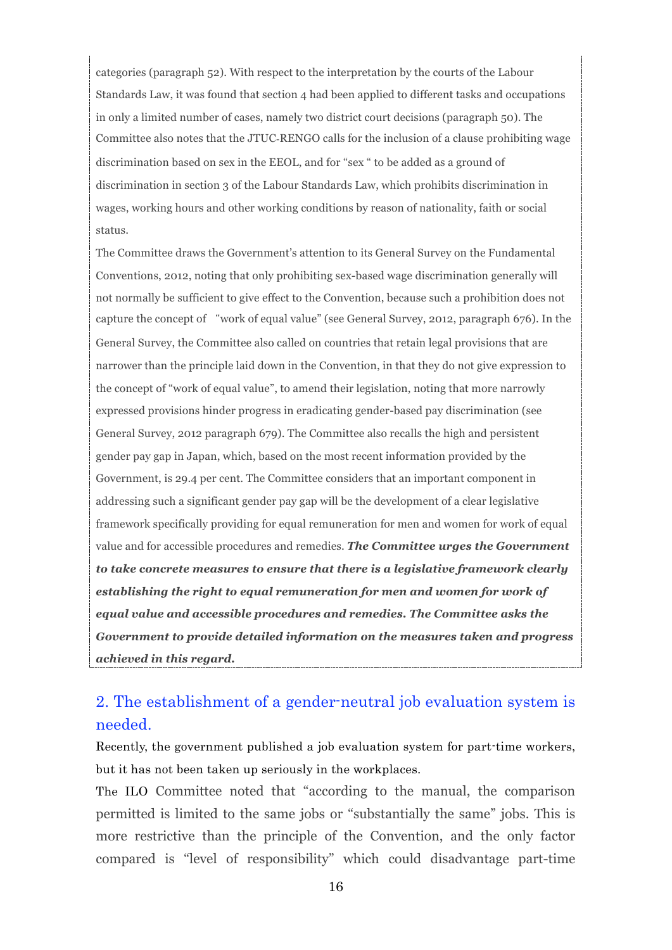categories (paragraph 52). With respect to the interpretation by the courts of the Labour Standards Law, it was found that section 4 had been applied to different tasks and occupations in only a limited number of cases, namely two district court decisions (paragraph 50). The Committee also notes that the JTUC-RENGO calls for the inclusion of a clause prohibiting wage discrimination based on sex in the EEOL, and for "sex " to be added as a ground of discrimination in section 3 of the Labour Standards Law, which prohibits discrimination in wages, working hours and other working conditions by reason of nationality, faith or social status.

The Committee draws the Government's attention to its General Survey on the Fundamental Conventions, 2012, noting that only prohibiting sex-based wage discrimination generally will not normally be sufficient to give effect to the Convention, because such a prohibition does not capture the concept of "work of equal value" (see General Survey, 2012, paragraph 676). In the General Survey, the Committee also called on countries that retain legal provisions that are narrower than the principle laid down in the Convention, in that they do not give expression to the concept of "work of equal value", to amend their legislation, noting that more narrowly expressed provisions hinder progress in eradicating gender-based pay discrimination (see General Survey, 2012 paragraph 679). The Committee also recalls the high and persistent gender pay gap in Japan, which, based on the most recent information provided by the Government, is 29.4 per cent. The Committee considers that an important component in addressing such a significant gender pay gap will be the development of a clear legislative framework specifically providing for equal remuneration for men and women for work of equal value and for accessible procedures and remedies. *The Committee urges the Government to take concrete measures to ensure that there is a legislative framework clearly establishing the right to equal remuneration for men and women for work of equal value and accessible procedures and remedies. The Committee asks the Government to provide detailed information on the measures taken and progress achieved in this regard.*

# 2. The establishment of a gender-neutral job evaluation system is needed.

Recently, the government published a job evaluation system for part-time workers, but it has not been taken up seriously in the workplaces.

The ILO Committee noted that "according to the manual, the comparison permitted is limited to the same jobs or "substantially the same" jobs. This is more restrictive than the principle of the Convention, and the only factor compared is "level of responsibility" which could disadvantage part-time